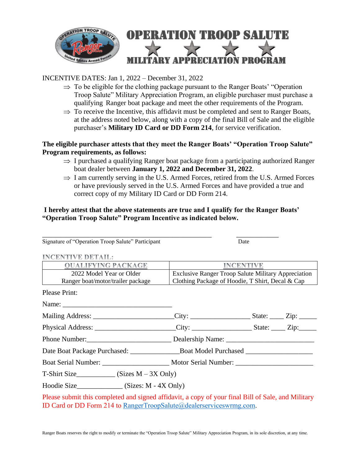

## INCENTIVE DATES: Jan 1, 2022 – December 31, 2022

- $\Rightarrow$  To be eligible for the clothing package pursuant to the Ranger Boats' "Operation" Troop Salute" Military Appreciation Program, an eligible purchaser must purchase a qualifying Ranger boat package and meet the other requirements of the Program.
- $\Rightarrow$  To receive the Incentive, this affidavit must be completed and sent to Ranger Boats, at the address noted below, along with a copy of the final Bill of Sale and the eligible purchaser's **Military ID Card or DD Form 214**, for service verification.

## **The eligible purchaser attests that they meet the Ranger Boats' "Operation Troop Salute" Program requirements, as follows:**

- $\Rightarrow$  I purchased a qualifying Ranger boat package from a participating authorized Ranger boat dealer between **January 1, 2022 and December 31, 2022**.
- $\Rightarrow$  I am currently serving in the U.S. Armed Forces, retired from the U.S. Armed Forces or have previously served in the U.S. Armed Forces and have provided a true and correct copy of my Military ID Card or DD Form 214.

## **I hereby attest that the above statements are true and I qualify for the Ranger Boats' "Operation Troop Salute" Program Incentive as indicated below.**

| Signature of "Operation Troop Salute" Participant                                                                                                                         |                                                            | Date |  |
|---------------------------------------------------------------------------------------------------------------------------------------------------------------------------|------------------------------------------------------------|------|--|
| <b>INCENTIVE DETAIL:</b>                                                                                                                                                  |                                                            |      |  |
| <b>OUALIFYING PACKAGE</b>                                                                                                                                                 | <b>INCENTIVE</b>                                           |      |  |
| 2022 Model Year or Older                                                                                                                                                  | <b>Exclusive Ranger Troop Salute Military Appreciation</b> |      |  |
| Ranger boat/motor/trailer package                                                                                                                                         | Clothing Package of Hoodie, T Shirt, Decal & Cap           |      |  |
| <b>Please Print:</b>                                                                                                                                                      |                                                            |      |  |
|                                                                                                                                                                           |                                                            |      |  |
| Mailing Address: ________________________City: ______________________State: ______Zip: _____________                                                                      |                                                            |      |  |
| Physical Address: ________________________City: _______________________State: ______Zip:____________                                                                      |                                                            |      |  |
|                                                                                                                                                                           |                                                            |      |  |
|                                                                                                                                                                           |                                                            |      |  |
|                                                                                                                                                                           |                                                            |      |  |
| $T\text{-Shift Size}$ (Sizes M – 3X Only)                                                                                                                                 |                                                            |      |  |
| Hoodie Size_________________ (Sizes: M - 4X Only)                                                                                                                         |                                                            |      |  |
| Please submit this completed and signed affidavit, a copy of your final Bill of Sale, and Military<br>ID Card or DD Form 214 to RangerTroopSalute@dealerserviceswrmg.com. |                                                            |      |  |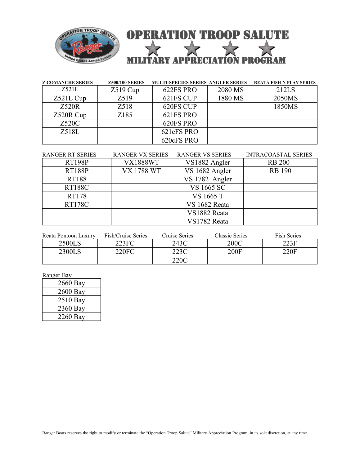

| <b>Z COMANCHE SERIES</b> | <b>Z500/100 SERIES</b> | <b>MULTI-SPECIES SERIES ANGLER SERIES</b> |         | <b>REATA FISH-N PLAY SERIES</b> |
|--------------------------|------------------------|-------------------------------------------|---------|---------------------------------|
| Z521L                    | $Z519$ Cup             | 622FS PRO                                 | 2080 MS | 212LS                           |
| $Z521L$ Cup              | Z519                   | 621FS CUP                                 | 1880 MS | 2050MS                          |
| Z520R                    | Z518                   | 620FS CUP                                 |         | 1850MS                          |
| Z520R Cup                | Z185                   | 621FS PRO                                 |         |                                 |
| Z520C                    |                        | 620FS PRO                                 |         |                                 |
| Z518L                    |                        | 621cFS PRO                                |         |                                 |
|                          |                        | 620cFS PRO                                |         |                                 |

| <b>RANGER RT SERIES</b> | <b>RANGER VX SERIES</b> | <b>RANGER VS SERIES</b> | <b>INTRACOASTAL SERIES</b> |
|-------------------------|-------------------------|-------------------------|----------------------------|
| <b>RT198P</b>           | <b>VX1888WT</b>         | VS1882 Angler           | <b>RB 200</b>              |
| <b>RT188P</b>           | <b>VX 1788 WT</b>       | VS 1682 Angler          | <b>RB</b> 190              |
| <b>RT188</b>            |                         | VS 1782 Angler          |                            |
| <b>RT188C</b>           |                         | VS 1665 SC              |                            |
| RT178                   |                         | VS 1665 T               |                            |
| <b>RT178C</b>           |                         | VS 1682 Reata           |                            |
|                         |                         | VS1882 Reata            |                            |
|                         |                         | VS1782 Reata            |                            |

| Reata Pontoon Luxury | Fish/Cruise Series | Cruise Series | Classic Series | <b>Fish Series</b> |
|----------------------|--------------------|---------------|----------------|--------------------|
| 2500LS               | 223FC              | 243C          | 200C           | 223F               |
| 2300LS               | 220FC              | 223C          | 200F           | 220F               |
|                      |                    | 220C          |                |                    |

Ranger Bay

| 2660 Bay |
|----------|
| 2600 Bay |
| 2510 Bay |
| 2360 Bay |
| 2260 Bay |